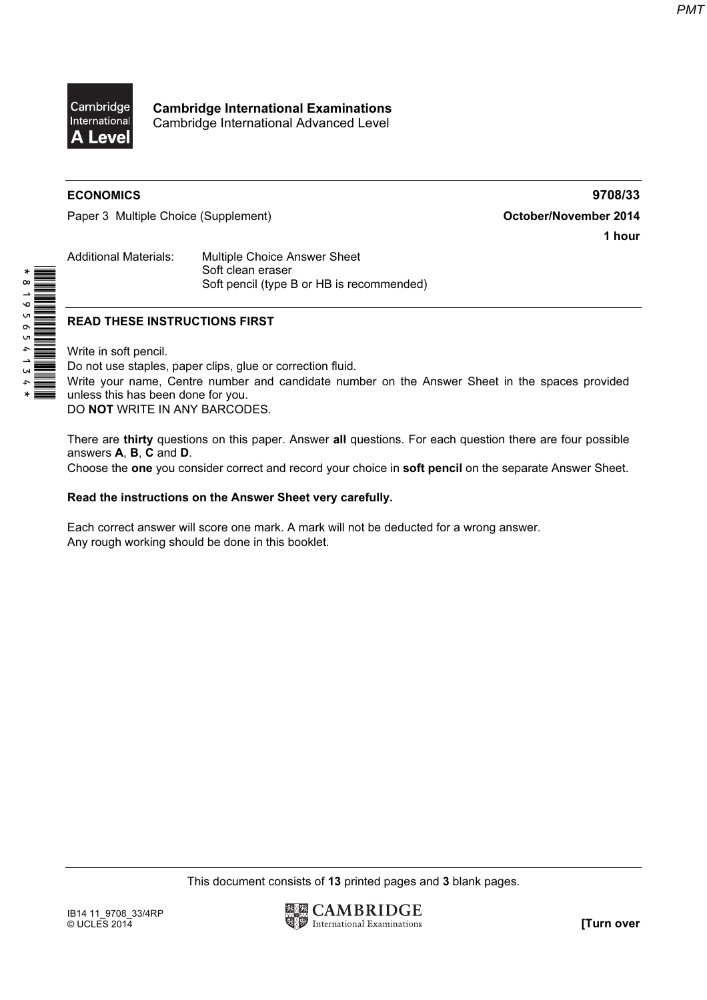

Cambridge International Examinations Cambridge International Advanced Level

### ECONOMICS 9708/33

Paper 3 Multiple Choice (Supplement) **Community** Chapter 2014 **October/November 2014** 

1 hour

Additional Materials: Multiple Choice Answer Sheet Soft clean eraser Soft pencil (type B or HB is recommended)

## READ THESE INSTRUCTIONS FIRST

Write in soft pencil.

\*8195654134\*

Do not use staples, paper clips, glue or correction fluid. Write your name, Centre number and candidate number on the Answer Sheet in the spaces provided unless this has been done for you. DO NOT WRITE IN ANY BARCODES.

There are thirty questions on this paper. Answer all questions. For each question there are four possible answers A, B, C and D.

Choose the one you consider correct and record your choice in soft pencil on the separate Answer Sheet.

#### Read the instructions on the Answer Sheet very carefully.

Each correct answer will score one mark. A mark will not be deducted for a wrong answer. Any rough working should be done in this booklet.

This document consists of 13 printed pages and 3 blank pages.

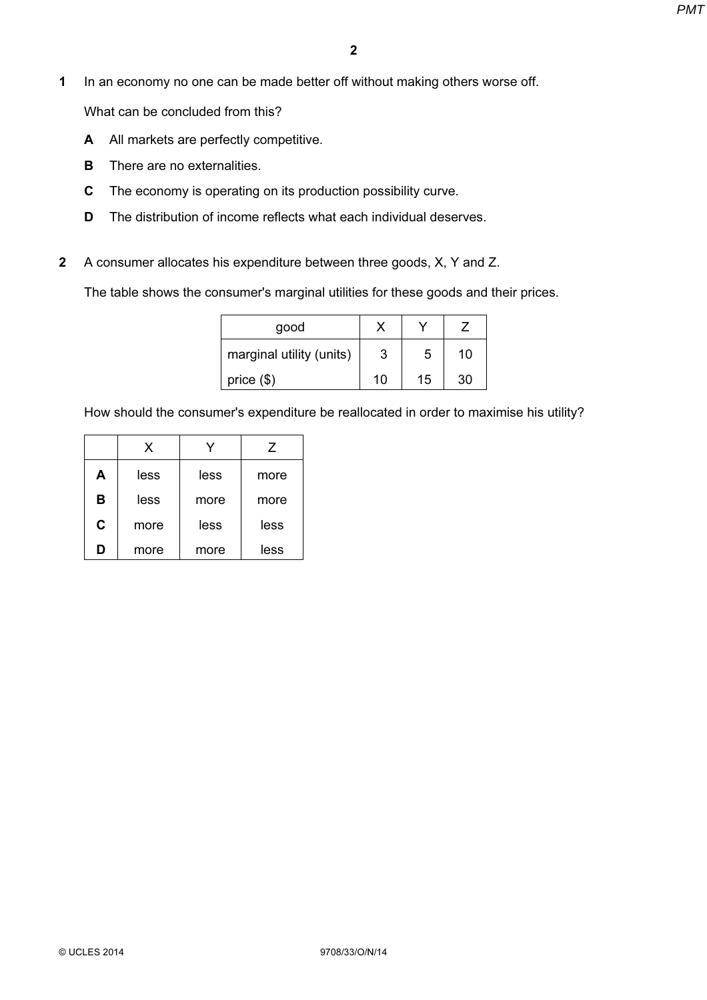1 In an economy no one can be made better off without making others worse off.

What can be concluded from this?

- A All markets are perfectly competitive.
- **B** There are no externalities.
- C The economy is operating on its production possibility curve.
- D The distribution of income reflects what each individual deserves.
- 2 A consumer allocates his expenditure between three goods, X, Y and Z.

The table shows the consumer's marginal utilities for these goods and their prices.

| good                     |    |    |    |
|--------------------------|----|----|----|
| marginal utility (units) | 3  | 5  | 10 |
| price $(\$)$             | 10 | 15 | 30 |

How should the consumer's expenditure be reallocated in order to maximise his utility?

|   | X    |      | 7    |
|---|------|------|------|
| A | less | less | more |
| в | less | more | more |
| C | more | less | less |
| Ŋ | more | more | less |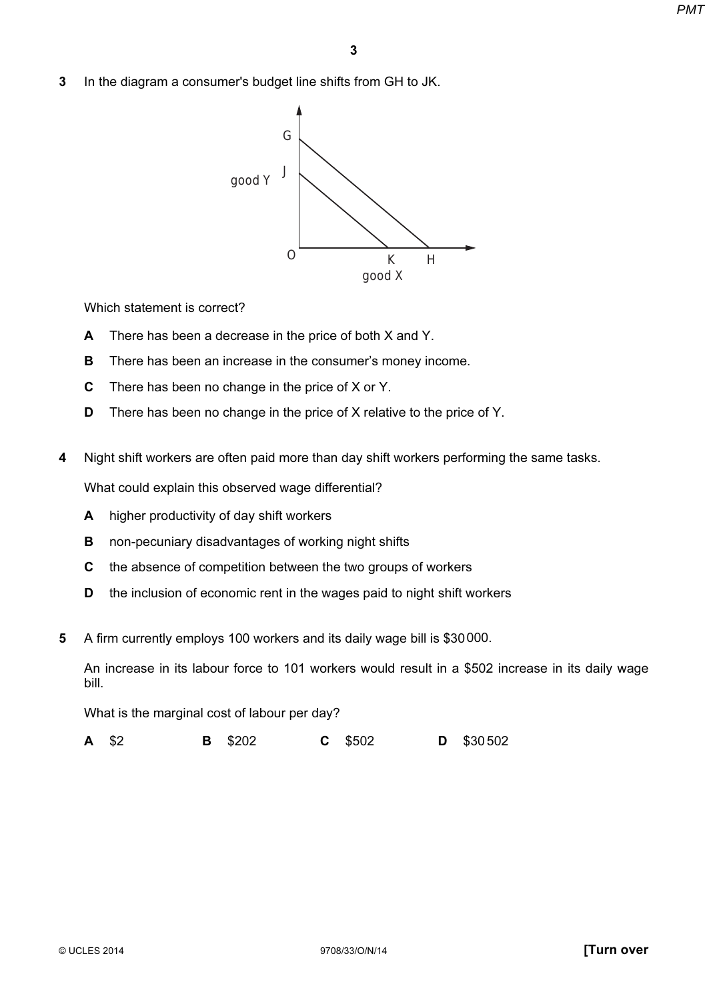3 In the diagram a consumer's budget line shifts from GH to JK.



Which statement is correct?

- A There has been a decrease in the price of both X and Y.
- **B** There has been an increase in the consumer's money income.
- C There has been no change in the price of X or Y.
- D There has been no change in the price of X relative to the price of Y.
- 4 Night shift workers are often paid more than day shift workers performing the same tasks. What could explain this observed wage differential?
	- A higher productivity of day shift workers
	- **B** non-pecuniary disadvantages of working night shifts
	- C the absence of competition between the two groups of workers
	- D the inclusion of economic rent in the wages paid to night shift workers
- 5 A firm currently employs 100 workers and its daily wage bill is \$30000.

An increase in its labour force to 101 workers would result in a \$502 increase in its daily wage bill.

What is the marginal cost of labour per day?

| A \$2 |  |  | <b>B</b> \$202 |  | $C$ \$502 |  | D \$30502 |
|-------|--|--|----------------|--|-----------|--|-----------|
|-------|--|--|----------------|--|-----------|--|-----------|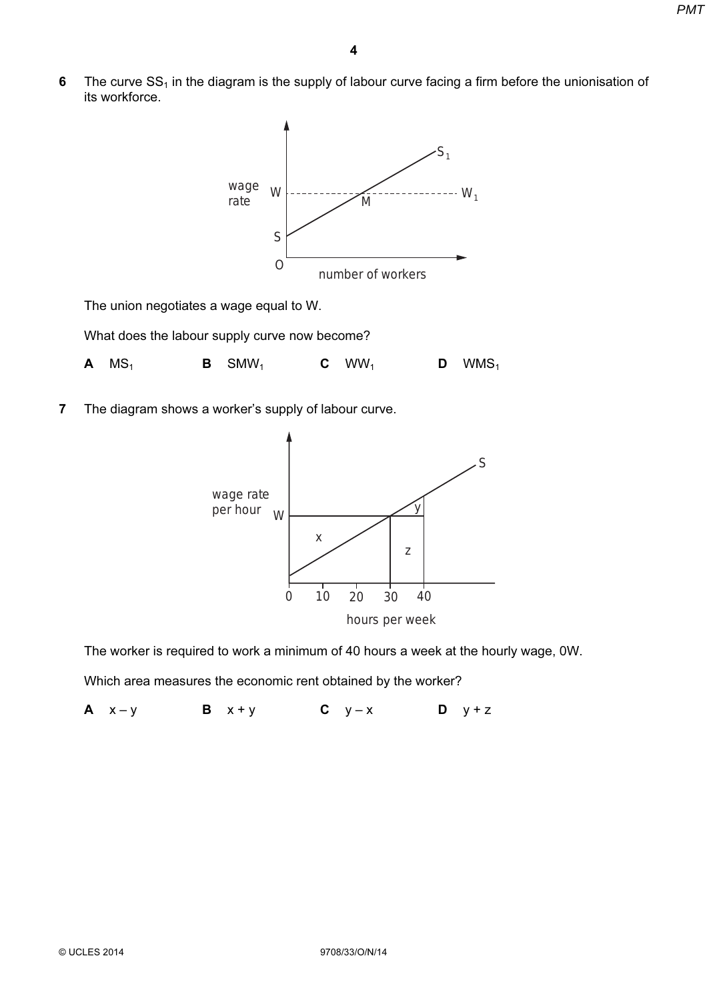6 The curve  $SS<sub>1</sub>$  in the diagram is the supply of labour curve facing a firm before the unionisation of its workforce.



The union negotiates a wage equal to W.

What does the labour supply curve now become?

 $A$  MS<sub>1</sub> **B** SMW<sub>1</sub> **C** WW<sub>1</sub> **D** WMS<sub>1</sub>

7 The diagram shows a worker's supply of labour curve.



The worker is required to work a minimum of 40 hours a week at the hourly wage, 0W.

Which area measures the economic rent obtained by the worker?

 $A \quad x-y$  B  $x+y$  C  $y-x$  D  $y+z$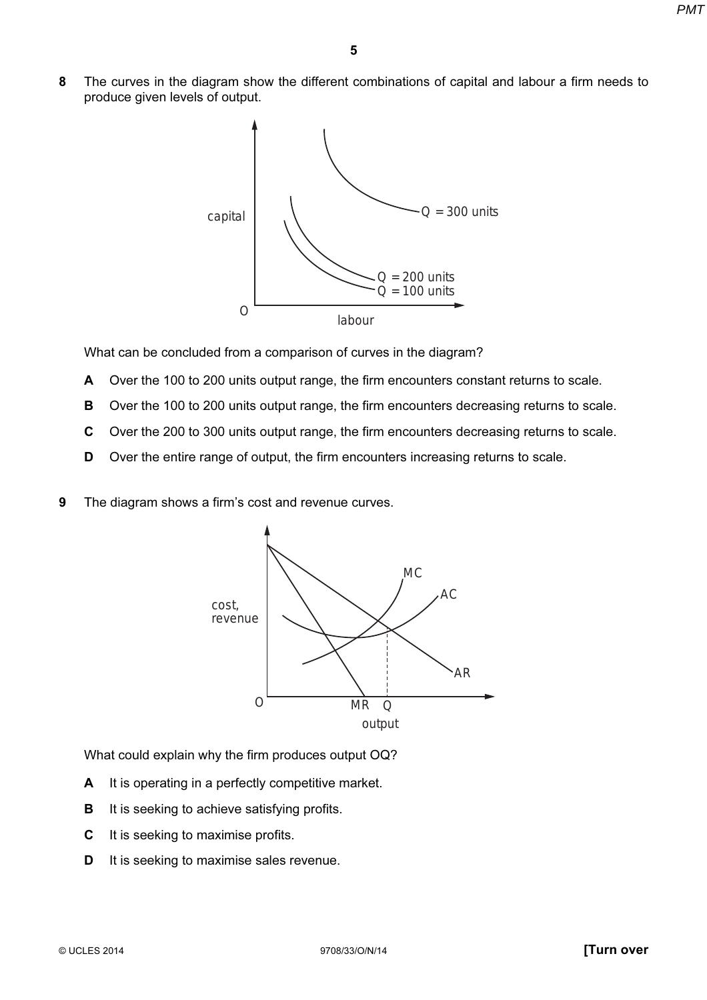8 The curves in the diagram show the different combinations of capital and labour a firm needs to produce given levels of output.



What can be concluded from a comparison of curves in the diagram?

- A Over the 100 to 200 units output range, the firm encounters constant returns to scale.
- B Over the 100 to 200 units output range, the firm encounters decreasing returns to scale.
- C Over the 200 to 300 units output range, the firm encounters decreasing returns to scale.
- D Over the entire range of output, the firm encounters increasing returns to scale.
- 9 The diagram shows a firm's cost and revenue curves.



What could explain why the firm produces output OQ?

- A It is operating in a perfectly competitive market.
- **B** It is seeking to achieve satisfying profits.
- C It is seeking to maximise profits.
- D It is seeking to maximise sales revenue.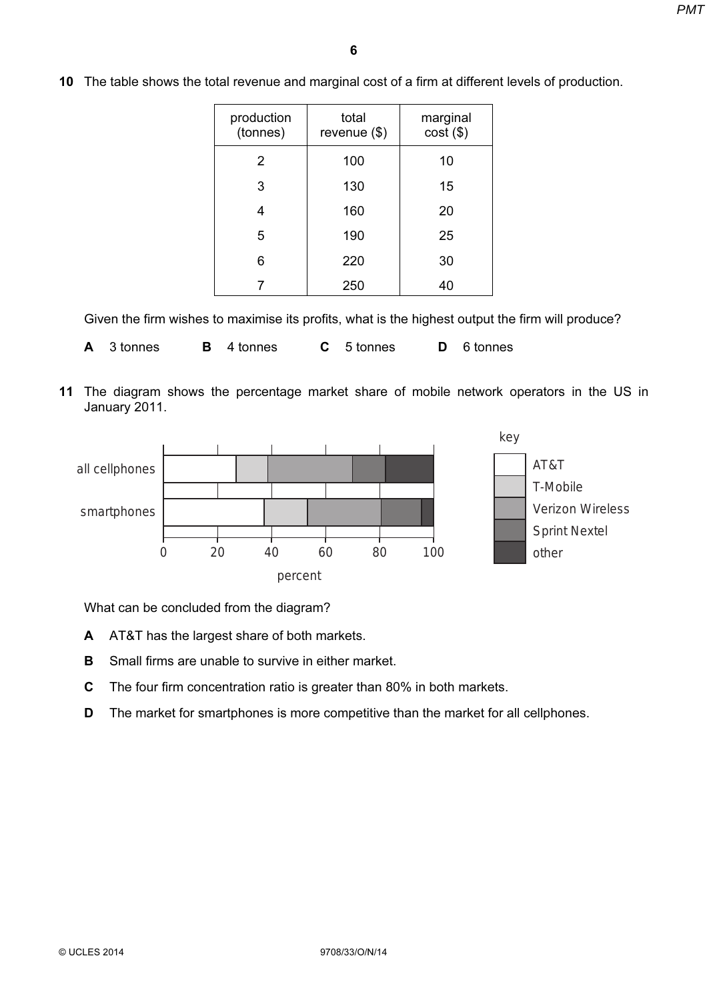| production<br>(tonnes) | total<br>revenue $(\$)$ | marginal<br>$cost($ \$) |
|------------------------|-------------------------|-------------------------|
| $\mathcal{P}$          | 100                     | 10                      |
| 3                      | 130                     | 15                      |
| 4                      | 160                     | 20                      |
| 5                      | 190                     | 25                      |
| 6                      | 220                     | 30                      |
|                        | 250                     | 40                      |

10 The table shows the total revenue and marginal cost of a firm at different levels of production.

Given the firm wishes to maximise its profits, what is the highest output the firm will produce?

- A 3 tonnes B 4 tonnes C 5 tonnes D 6 tonnes
- 11 The diagram shows the percentage market share of mobile network operators in the US in January 2011.



What can be concluded from the diagram?

- A AT&T has the largest share of both markets.
- **B** Small firms are unable to survive in either market.
- C The four firm concentration ratio is greater than 80% in both markets.
- D The market for smartphones is more competitive than the market for all cellphones.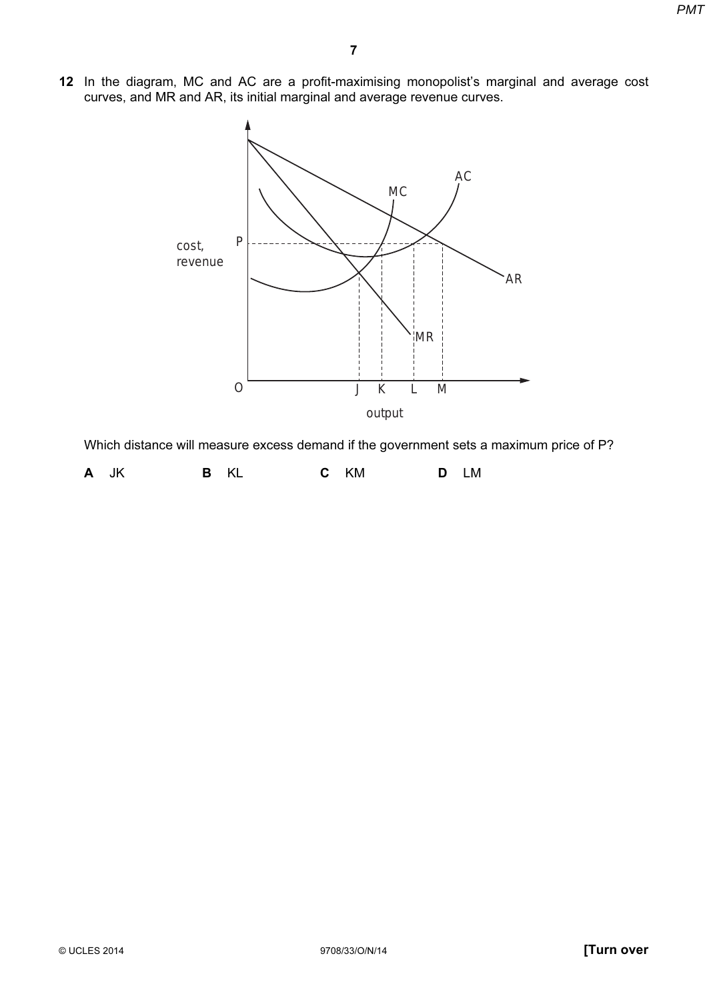12 In the diagram, MC and AC are a profit-maximising monopolist's marginal and average cost curves, and MR and AR, its initial marginal and average revenue curves.



Which distance will measure excess demand if the government sets a maximum price of P?

A JK B KL C KM D LM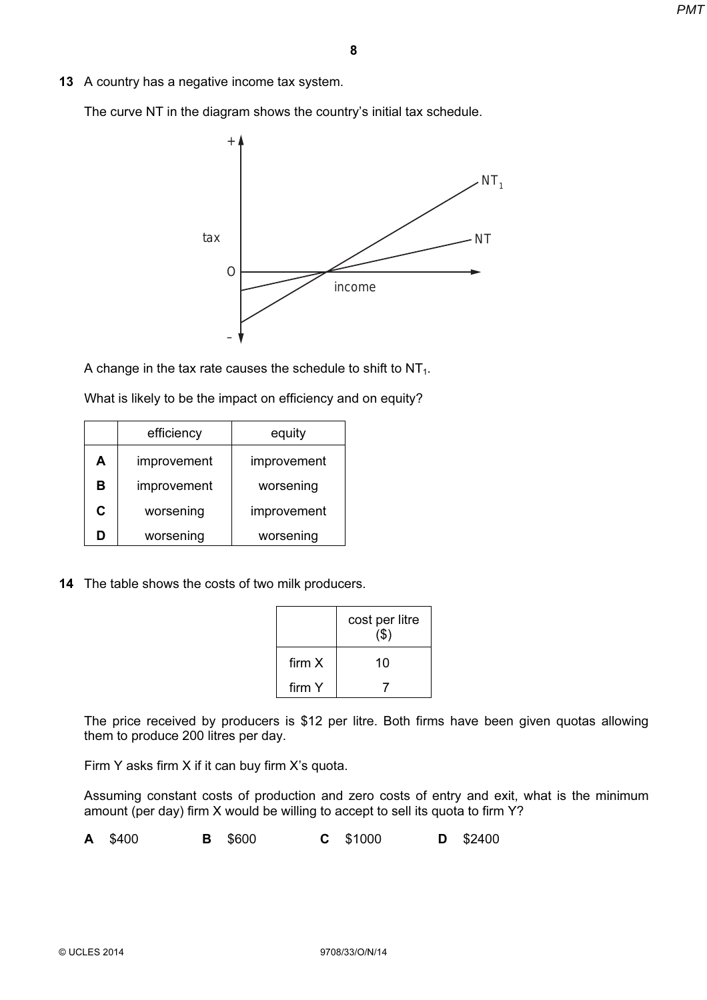13 A country has a negative income tax system.

The curve NT in the diagram shows the country's initial tax schedule.



A change in the tax rate causes the schedule to shift to  $NT_1$ .

What is likely to be the impact on efficiency and on equity?

|   | efficiency  | equity      |
|---|-------------|-------------|
| А | improvement | improvement |
| в | improvement | worsening   |
| C | worsening   | improvement |
| D | worsening   | worsening   |

14 The table shows the costs of two milk producers.

|        | cost per litre<br>(3) |
|--------|-----------------------|
| firm X | 10                    |
| firm Y |                       |

The price received by producers is \$12 per litre. Both firms have been given quotas allowing them to produce 200 litres per day.

Firm Y asks firm X if it can buy firm X's quota.

Assuming constant costs of production and zero costs of entry and exit, what is the minimum amount (per day) firm X would be willing to accept to sell its quota to firm Y?

A \$400 B \$600 C \$1000 D \$2400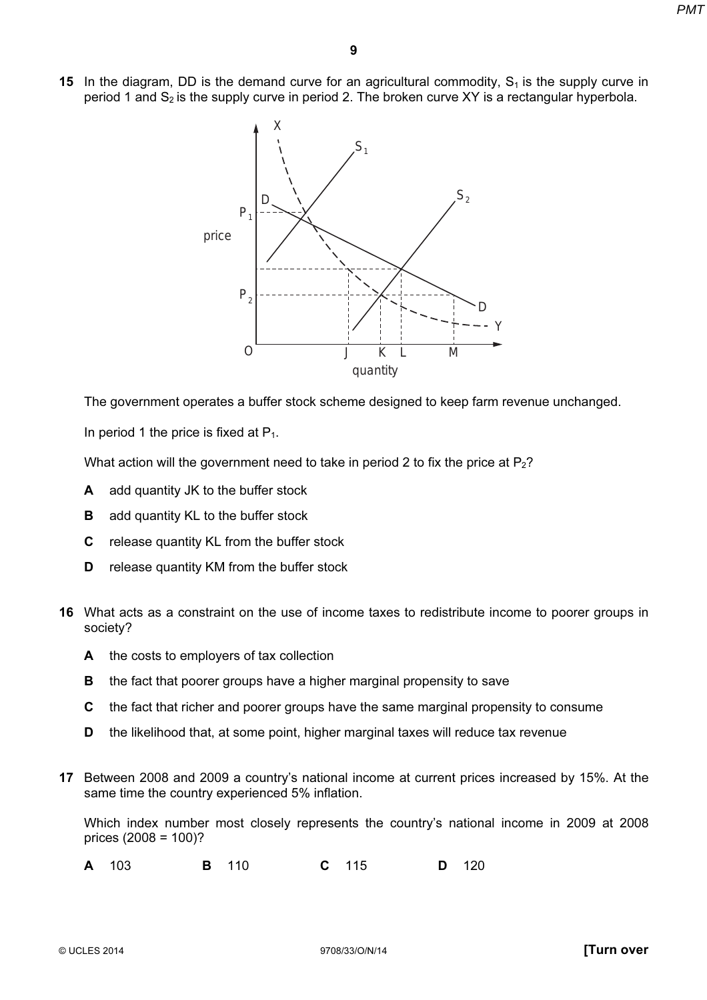15 In the diagram, DD is the demand curve for an agricultural commodity,  $S_1$  is the supply curve in period 1 and  $S_2$  is the supply curve in period 2. The broken curve XY is a rectangular hyperbola.



The government operates a buffer stock scheme designed to keep farm revenue unchanged.

In period 1 the price is fixed at  $P_1$ .

What action will the government need to take in period 2 to fix the price at  $P_2$ ?

- A add quantity JK to the buffer stock
- **B** add quantity KL to the buffer stock
- C release quantity KL from the buffer stock
- **D** release quantity KM from the buffer stock
- 16 What acts as a constraint on the use of income taxes to redistribute income to poorer groups in society?
	- A the costs to employers of tax collection
	- B the fact that poorer groups have a higher marginal propensity to save
	- C the fact that richer and poorer groups have the same marginal propensity to consume
	- D the likelihood that, at some point, higher marginal taxes will reduce tax revenue
- 17 Between 2008 and 2009 a country's national income at current prices increased by 15%. At the same time the country experienced 5% inflation.

Which index number most closely represents the country's national income in 2009 at 2008 prices (2008 = 100)?

A 103 B 110 C 115 D 120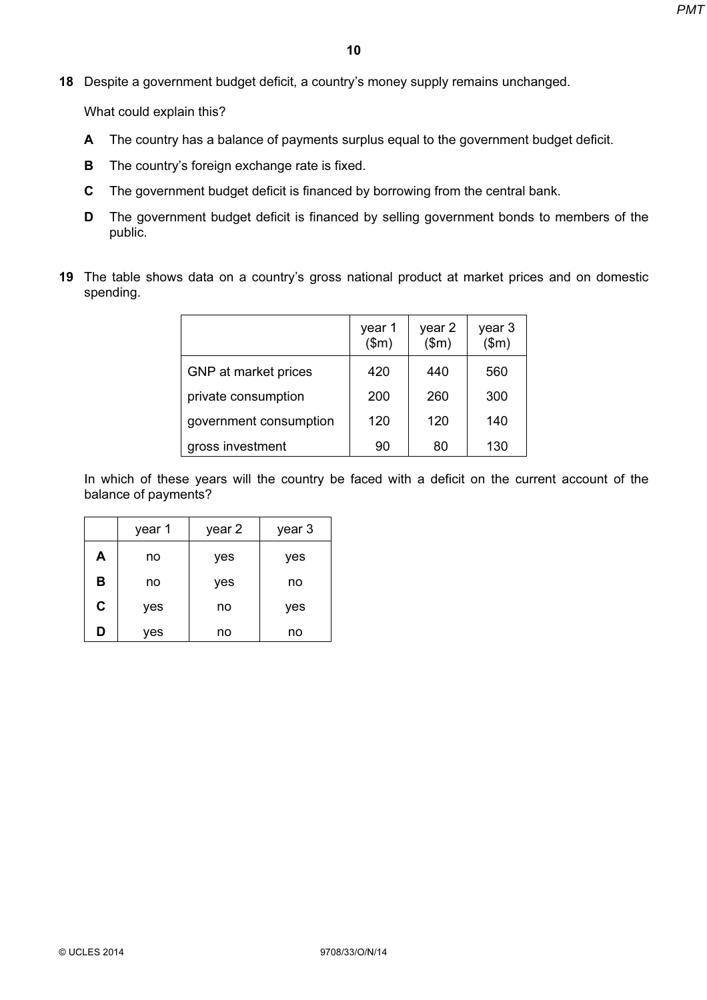18 Despite a government budget deficit, a country's money supply remains unchanged.

What could explain this?

- A The country has a balance of payments surplus equal to the government budget deficit.
- **B** The country's foreign exchange rate is fixed.
- C The government budget deficit is financed by borrowing from the central bank.
- D The government budget deficit is financed by selling government bonds to members of the public.
- 19 The table shows data on a country's gross national product at market prices and on domestic spending.

|                        | year 1<br>\$m\$ | year 2<br>\$m\$ | year 3<br>\$m\$ |
|------------------------|-----------------|-----------------|-----------------|
| GNP at market prices   | 420             | 440             | 560             |
| private consumption    | 200             | 260             | 300             |
| government consumption | 120             | 120             | 140             |
| gross investment       | 90              | 80              | 130             |

In which of these years will the country be faced with a deficit on the current account of the balance of payments?

|   | year 1 | year 2 | year 3 |
|---|--------|--------|--------|
| Α | no     | yes    | yes    |
| в | no     | yes    | no     |
| C | yes    | no     | yes    |
| D | yes    | no     | no     |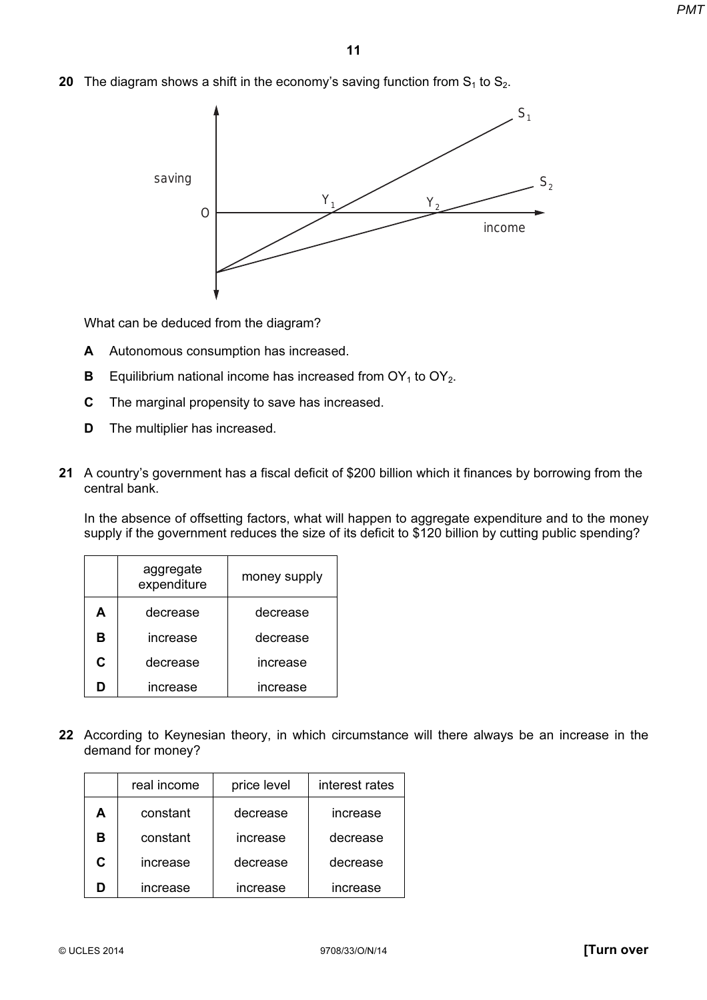20 The diagram shows a shift in the economy's saving function from  $S_1$  to  $S_2$ .



What can be deduced from the diagram?

- A Autonomous consumption has increased.
- **B** Equilibrium national income has increased from  $OY_1$  to  $OY_2$ .
- C The marginal propensity to save has increased.
- **D** The multiplier has increased.
- 21 A country's government has a fiscal deficit of \$200 billion which it finances by borrowing from the central bank.

In the absence of offsetting factors, what will happen to aggregate expenditure and to the money supply if the government reduces the size of its deficit to \$120 billion by cutting public spending?

|   | aggregate<br>expenditure | money supply |
|---|--------------------------|--------------|
| А | decrease                 | decrease     |
| в | increase                 | decrease     |
| C | decrease                 | increase     |
|   | increase                 | increase     |

22 According to Keynesian theory, in which circumstance will there always be an increase in the demand for money?

|    | real income | price level | interest rates |
|----|-------------|-------------|----------------|
| А  | constant    | decrease    | increase       |
| в  | constant    | increase    | decrease       |
| C. | increase    | decrease    | decrease       |
|    | increase    | increase    | increase       |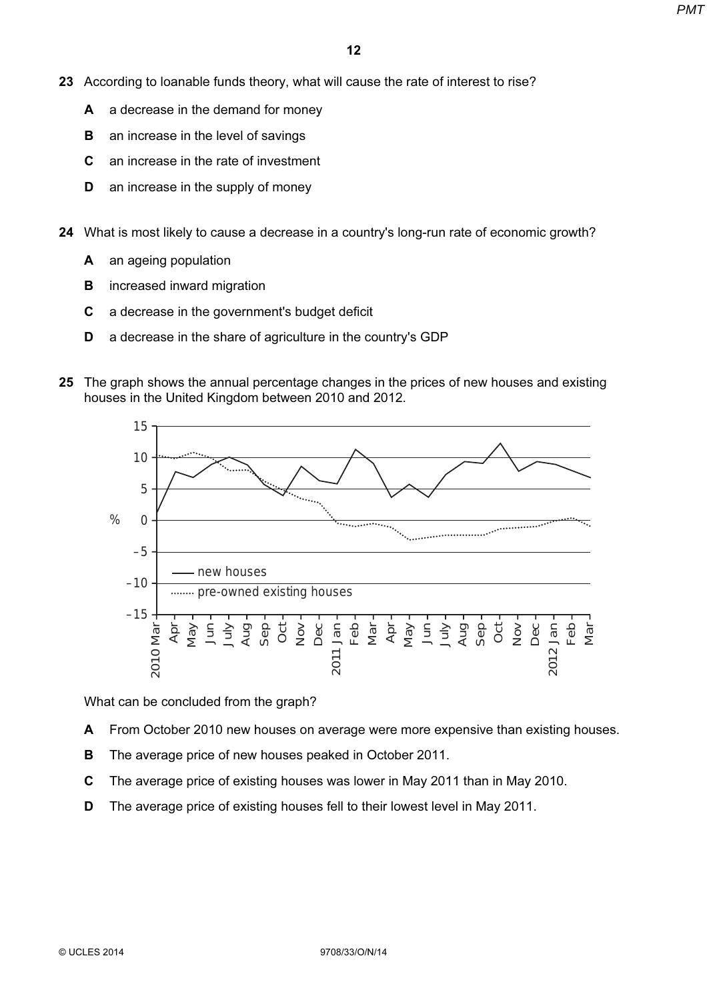- 23 According to loanable funds theory, what will cause the rate of interest to rise?
	- A a decrease in the demand for money
	- **B** an increase in the level of savings
	- C an increase in the rate of investment
	- **D** an increase in the supply of money
- 24 What is most likely to cause a decrease in a country's long-run rate of economic growth?
	- A an ageing population
	- **B** increased inward migration
	- C a decrease in the government's budget deficit
	- D a decrease in the share of agriculture in the country's GDP
- 25 The graph shows the annual percentage changes in the prices of new houses and existing houses in the United Kingdom between 2010 and 2012.



What can be concluded from the graph?

- A From October 2010 new houses on average were more expensive than existing houses.
- **B** The average price of new houses peaked in October 2011.
- C The average price of existing houses was lower in May 2011 than in May 2010.
- D The average price of existing houses fell to their lowest level in May 2011.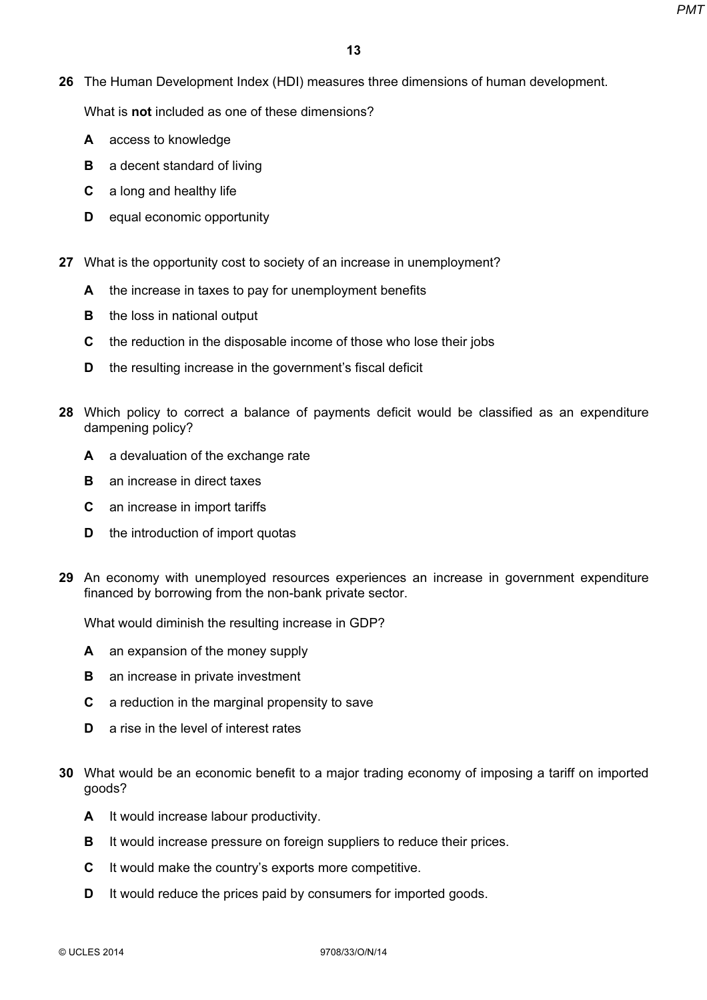26 The Human Development Index (HDI) measures three dimensions of human development.

What is not included as one of these dimensions?

- A access to knowledge
- **B** a decent standard of living
- C a long and healthy life
- D equal economic opportunity
- 27 What is the opportunity cost to society of an increase in unemployment?
	- A the increase in taxes to pay for unemployment benefits
	- **B** the loss in national output
	- C the reduction in the disposable income of those who lose their jobs
	- D the resulting increase in the government's fiscal deficit
- 28 Which policy to correct a balance of payments deficit would be classified as an expenditure dampening policy?
	- A a devaluation of the exchange rate
	- **B** an increase in direct taxes
	- C an increase in import tariffs
	- **D** the introduction of import quotas
- 29 An economy with unemployed resources experiences an increase in government expenditure financed by borrowing from the non-bank private sector.

What would diminish the resulting increase in GDP?

- A an expansion of the money supply
- **B** an increase in private investment
- C a reduction in the marginal propensity to save
- D a rise in the level of interest rates
- 30 What would be an economic benefit to a major trading economy of imposing a tariff on imported goods?
	- A It would increase labour productivity.
	- B It would increase pressure on foreign suppliers to reduce their prices.
	- C It would make the country's exports more competitive.
	- D It would reduce the prices paid by consumers for imported goods.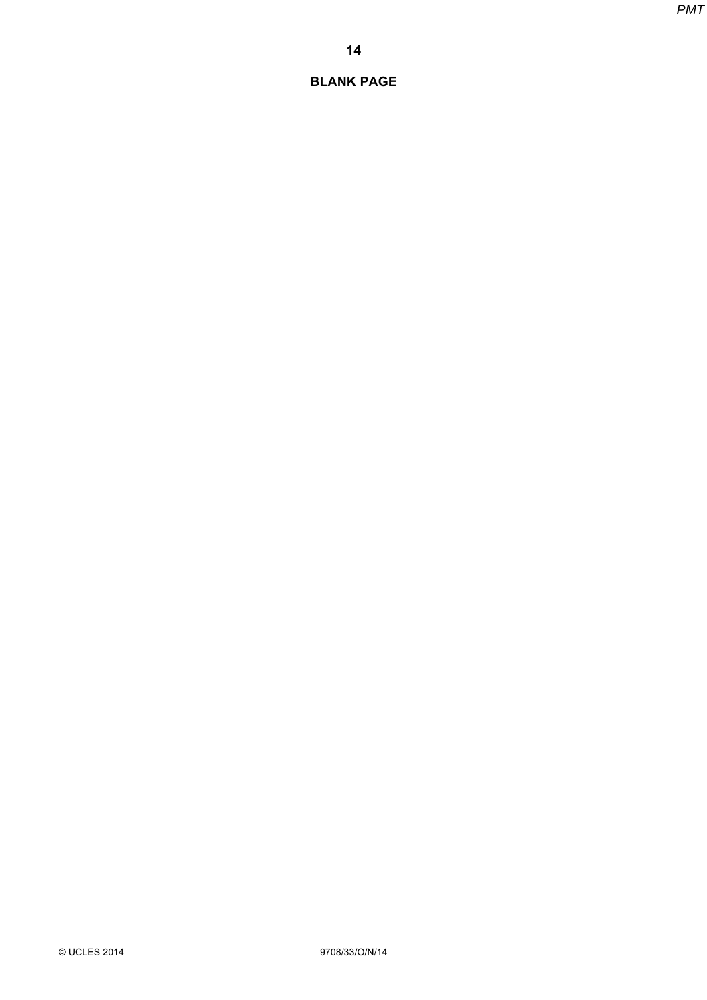# BLANK PAGE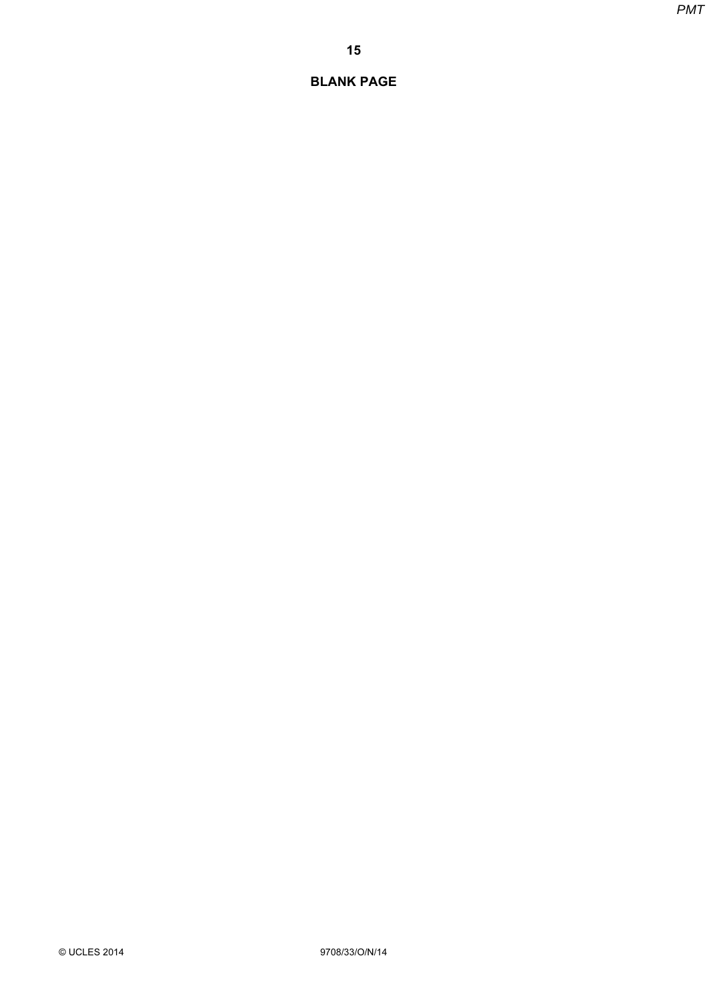## 15

### BLANK PAGE